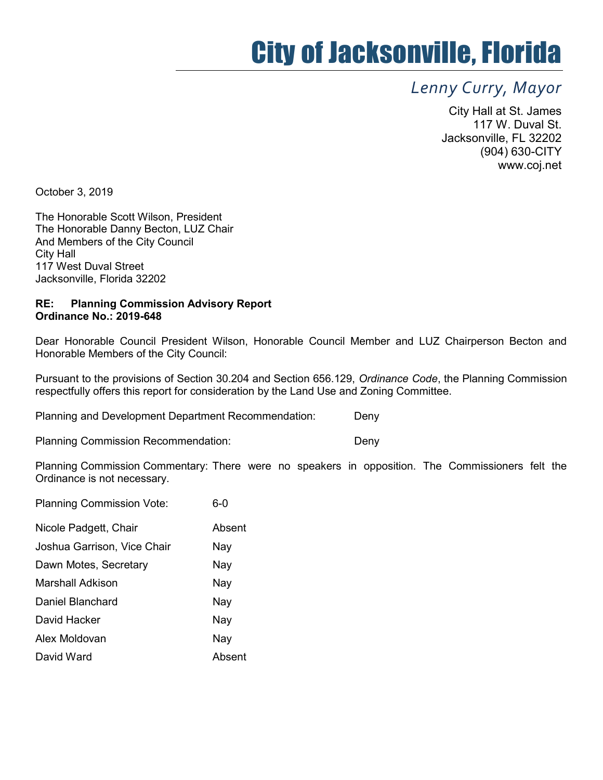# City of Jacksonville, Florida

## Lenny Curry, Mayor

City Hall at St. James 117 W. Duval St. Jacksonville, FL 32202 (904) 630-CITY www.coj.net

October 3, 2019

The Honorable Scott Wilson, President The Honorable Danny Becton, LUZ Chair And Members of the City Council City Hall 117 West Duval Street Jacksonville, Florida 32202

### RE: Planning Commission Advisory Report Ordinance No.: 2019-648

Dear Honorable Council President Wilson, Honorable Council Member and LUZ Chairperson Becton and Honorable Members of the City Council:

Pursuant to the provisions of Section 30.204 and Section 656.129, Ordinance Code, the Planning Commission respectfully offers this report for consideration by the Land Use and Zoning Committee.

Planning and Development Department Recommendation: Deny

Planning Commission Recommendation: Deny

Planning Commission Commentary: There were no speakers in opposition. The Commissioners felt the Ordinance is not necessary.

| 6-0    |
|--------|
| Absent |
| Nay    |
| Nay    |
| Nay    |
| Nay    |
| Nay    |
| Nay    |
| Absent |
|        |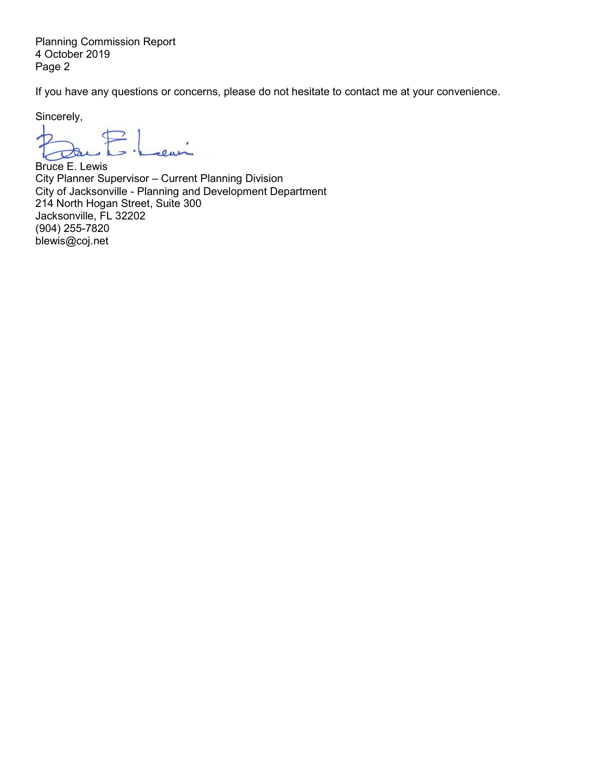Planning Commission Report 4 October 2019 Page 2

If you have any questions or concerns, please do not hesitate to contact me at your convenience.

Sincerely,

d  $\overline{\phantom{a}}$  $\overline{\mathcal{R}}$ 

Bruce E. Lewis City Planner Supervisor – Current Planning Division City of Jacksonville - Planning and Development Department 214 North Hogan Street, Suite 300 Jacksonville, FL 32202 (904) 255-7820 blewis@coj.net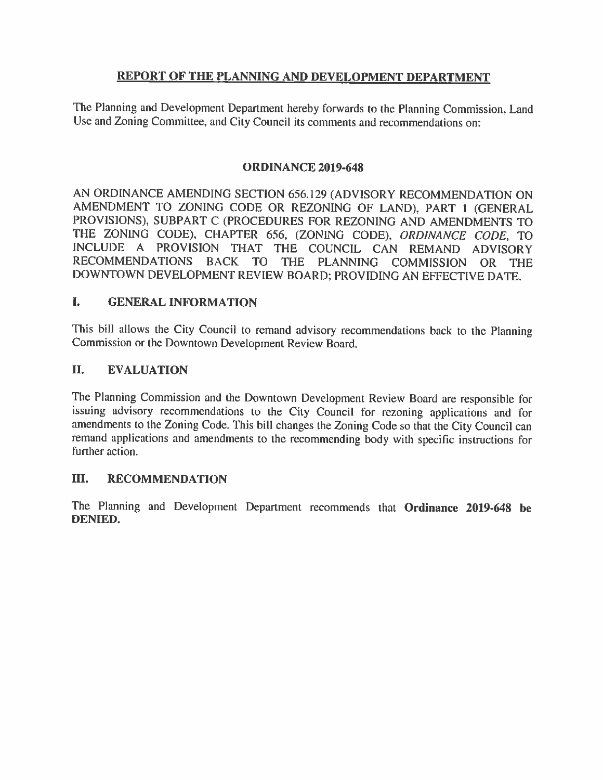## REPORT OF THE PLANNING AND DEVELOPMENT DEPARTMENT

The Planning and Development Department hereby forwards to the Planning Commission, Land Use and Zoning Committee, and City Council its comments and recommendations on:

## **ORDINANCE 2019-648**

AN ORDINANCE AMENDING SECTION 656.129 (ADVISORY RECOMMENDATION ON AMENDMENT TO ZONING CODE OR REZONING OF LAND), PART 1 (GENERAL PROVISIONS), SUBPART C (PROCEDURES FOR REZONING AND AMENDMENTS TO THE ZONING CODE), CHAPTER 656, (ZONING CODE), ORDINANCE CODE, TO INCLUDE A PROVISION THAT THE COUNCIL CAN REMAND ADVISORY **RECOMMENDATIONS** BACK TO THE PLANNING COMMISSION OR THE DOWNTOWN DEVELOPMENT REVIEW BOARD; PROVIDING AN EFFECTIVE DATE.

#### L **GENERAL INFORMATION**

This bill allows the City Council to remand advisory recommendations back to the Planning Commission or the Downtown Development Review Board.

#### II. **EVALUATION**

The Planning Commission and the Downtown Development Review Board are responsible for issuing advisory recommendations to the City Council for rezoning applications and for amendments to the Zoning Code. This bill changes the Zoning Code so that the City Council can remand applications and amendments to the recommending body with specific instructions for further action.

#### III. **RECOMMENDATION**

The Planning and Development Department recommends that Ordinance 2019-648 be **DENIED.**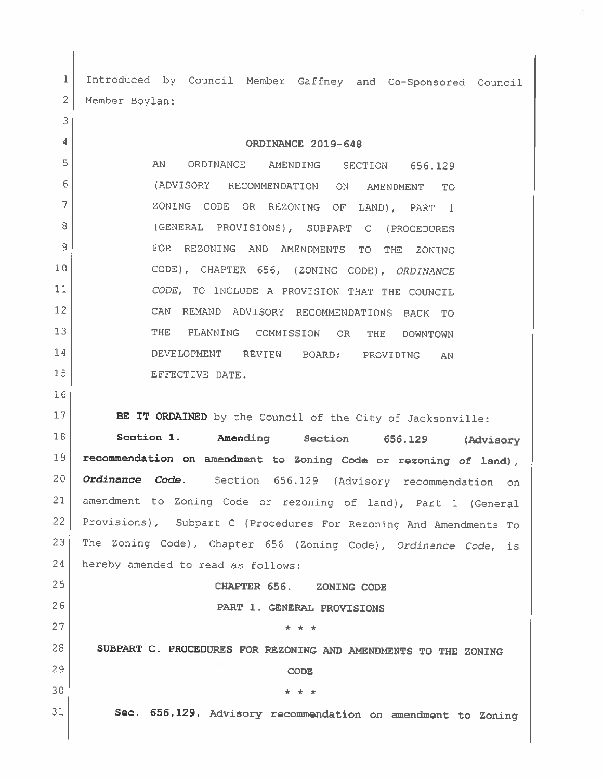Introduced by Council Member Gaffney and Co-Sponsored Council 1  $\overline{2}$ Member Boylan:

ORDINANCE 2019-648

5 AN ORDINANCE AMENDING SECTION 656.129 6 (ADVISORY RECOMMENDATION ON AMENDMENT TO<sub>1</sub> 7 ZONING CODE OR REZONING OF LAND), PART  $\overline{1}$ 8 (GENERAL PROVISIONS), SUBPART C (PROCEDURES  $\mathcal{Q}$ FOR REZONING AND AMENDMENTS TO **THE** ZONING  $10$ CODE), CHAPTER 656, (ZONING CODE), ORDINANCE  $11$ CODE, TO INCLUDE A PROVISION THAT THE COUNCIL  $12$ CAN REMAND ADVISORY RECOMMENDATIONS BACK TO  $13$ **THE** PLANNING COMMISSION OR THE **DOWNTOWN** 14 DEVELOPMENT REVIEW BOARD; PROVIDING AN 15 EFFECTIVE DATE.

3

 $\overline{4}$ 

16

17

26

27

29

30

31

BE IT ORDAINED by the Council of the City of Jacksonville:

18 Section 1. Amending Section 656.129 (Advisory 19 recommendation on amendment to Zoning Code or rezoning of land),  $20<sup>°</sup>$ Ordinance Code. Section 656.129 (Advisory recommendation on  $21$ amendment to Zoning Code or rezoning of land), Part 1 (General  $22$ Provisions), Subpart C (Procedures For Rezoning And Amendments To The Zoning Code), Chapter 656 (Zoning Code), Ordinance Code, is 23 24 hereby amended to read as follows: 25

CHAPTER 656. ZONING CODE

PART 1. GENERAL PROVISIONS

 $\pm$   $\pm$   $\pm$ 

SUBPART C. PROCEDURES FOR REZONING AND AMENDMENTS TO THE ZONING 28

**CODE** 

146.146

Sec. 656.129. Advisory recommendation on amendment to Zoning